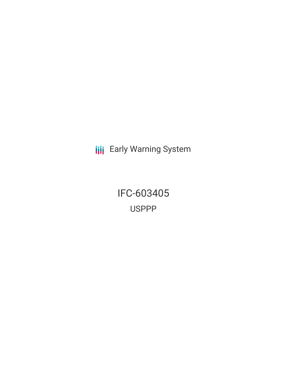**III** Early Warning System

IFC-603405 USPPP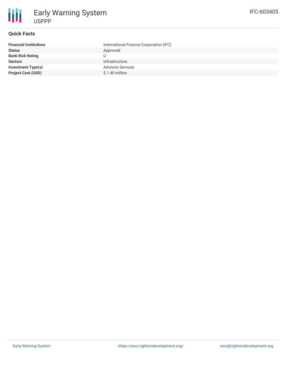

# **Quick Facts**

| <b>Financial Institutions</b> | International Finance Corporation (IFC) |
|-------------------------------|-----------------------------------------|
| <b>Status</b>                 | Approved                                |
| <b>Bank Risk Rating</b>       |                                         |
| <b>Sectors</b>                | Infrastructure                          |
| <b>Investment Type(s)</b>     | <b>Advisory Services</b>                |
| <b>Project Cost (USD)</b>     | $$1.40$ million                         |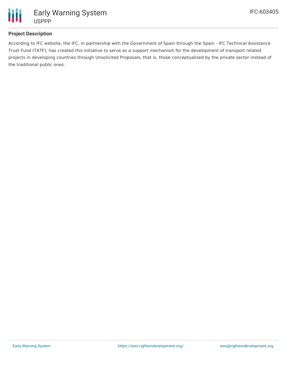

# **Project Description**

According to IFC website, the IFC, in partnership with the Government of Spain through the Spain - IFC Technical Assistance Trust Fund (TATF), has created this initiative to serve as a support mechanism for the development of transport related projects in developing countries through Unsolicited Proposals, that is, those conceptualized by the private sector instead of the traditional public ones.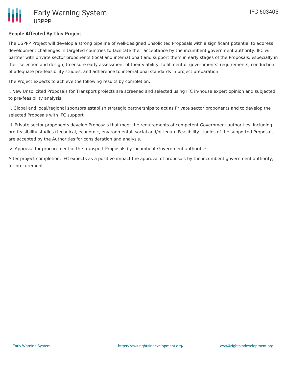### **People Affected By This Project**

The USPPP Project will develop a strong pipeline of well-designed Unsolicited Proposals with a significant potential to address development challenges in targeted countries to facilitate their acceptance by the incumbent government authority. IFC will partner with private sector proponents (local and international) and support them in early stages of the Proposals, especially in their selection and design, to ensure early assessment of their viability, fulfillment of governments' requirements, conduction of adequate pre-feasibility studies, and adherence to international standards in project preparation.

The Project expects to achieve the following results by completion:

i. New Unsolicited Proposals for Transport projects are screened and selected using IFC in-house expert opinion and subjected to pre-feasibility analysis;

ii. Global and local/regional sponsors establish strategic partnerships to act as Private sector proponents and to develop the selected Proposals with IFC support.

iii. Private sector proponents develop Proposals that meet the requirements of competent Government authorities, including pre-feasibility studies (technical, economic, environmental, social and/or legal). Feasibility studies of the supported Proposals are accepted by the Authorities for consideration and analysis.

iv. Approval for procurement of the transport Proposals by incumbent Government authorities.

After project completion, IFC expects as a positive impact the approval of proposals by the incumbent government authority, for procurement.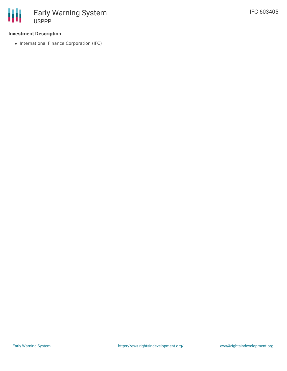#### **Investment Description**

• International Finance Corporation (IFC)